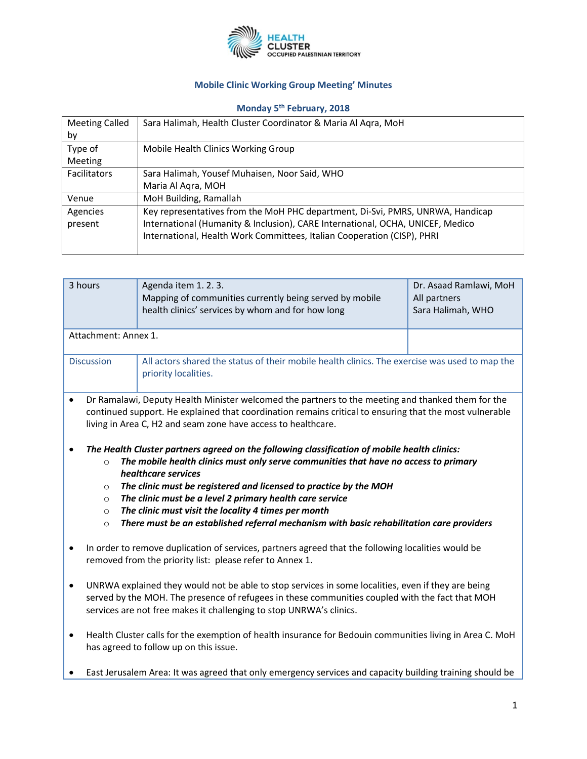

## **Mobile Clinic Working Group Meeting' Minutes**

## **Monday 5th February, 2018**

| <b>Meeting Called</b> | Sara Halimah, Health Cluster Coordinator & Maria Al Agra, MoH                  |  |  |
|-----------------------|--------------------------------------------------------------------------------|--|--|
| by                    |                                                                                |  |  |
| Type of               | Mobile Health Clinics Working Group                                            |  |  |
| <b>Meeting</b>        |                                                                                |  |  |
| <b>Facilitators</b>   | Sara Halimah, Yousef Muhaisen, Noor Said, WHO                                  |  |  |
|                       | Maria Al Agra, MOH                                                             |  |  |
| Venue                 | MoH Building, Ramallah                                                         |  |  |
| Agencies              | Key representatives from the MoH PHC department, Di-Svi, PMRS, UNRWA, Handicap |  |  |
| present               | International (Humanity & Inclusion), CARE International, OCHA, UNICEF, Medico |  |  |
|                       | International, Health Work Committees, Italian Cooperation (CISP), PHRI        |  |  |
|                       |                                                                                |  |  |

| 3 hours                                                                                                                                                                                                                                                                                                                                                                                    | Agenda item 1.2.3.<br>Mapping of communities currently being served by mobile<br>health clinics' services by whom and for how long | Dr. Asaad Ramlawi, MoH<br>All partners<br>Sara Halimah, WHO |  |  |  |  |
|--------------------------------------------------------------------------------------------------------------------------------------------------------------------------------------------------------------------------------------------------------------------------------------------------------------------------------------------------------------------------------------------|------------------------------------------------------------------------------------------------------------------------------------|-------------------------------------------------------------|--|--|--|--|
| Attachment: Annex 1.                                                                                                                                                                                                                                                                                                                                                                       |                                                                                                                                    |                                                             |  |  |  |  |
| <b>Discussion</b>                                                                                                                                                                                                                                                                                                                                                                          | All actors shared the status of their mobile health clinics. The exercise was used to map the<br>priority localities.              |                                                             |  |  |  |  |
| Dr Ramalawi, Deputy Health Minister welcomed the partners to the meeting and thanked them for the<br>$\bullet$<br>continued support. He explained that coordination remains critical to ensuring that the most vulnerable<br>living in Area C, H2 and seam zone have access to healthcare.<br>The Health Cluster partners agreed on the following classification of mobile health clinics: |                                                                                                                                    |                                                             |  |  |  |  |
| $\Omega$                                                                                                                                                                                                                                                                                                                                                                                   | The mobile health clinics must only serve communities that have no access to primary<br>healthcare services                        |                                                             |  |  |  |  |
| $\circ$                                                                                                                                                                                                                                                                                                                                                                                    | The clinic must be registered and licensed to practice by the MOH<br>The clinic must be a level 2 primary health care service      |                                                             |  |  |  |  |
| $\circ$<br>$\circ$                                                                                                                                                                                                                                                                                                                                                                         | The clinic must visit the locality 4 times per month                                                                               |                                                             |  |  |  |  |
| $\circ$                                                                                                                                                                                                                                                                                                                                                                                    | There must be an established referral mechanism with basic rehabilitation care providers                                           |                                                             |  |  |  |  |
| In order to remove duplication of services, partners agreed that the following localities would be<br>$\bullet$<br>removed from the priority list: please refer to Annex 1.                                                                                                                                                                                                                |                                                                                                                                    |                                                             |  |  |  |  |
| UNRWA explained they would not be able to stop services in some localities, even if they are being<br>$\bullet$<br>served by the MOH. The presence of refugees in these communities coupled with the fact that MOH<br>services are not free makes it challenging to stop UNRWA's clinics.                                                                                                  |                                                                                                                                    |                                                             |  |  |  |  |
| Health Cluster calls for the exemption of health insurance for Bedouin communities living in Area C. MoH<br>$\bullet$<br>has agreed to follow up on this issue.                                                                                                                                                                                                                            |                                                                                                                                    |                                                             |  |  |  |  |
| East Jerusalem Area: It was agreed that only emergency services and capacity building training should be                                                                                                                                                                                                                                                                                   |                                                                                                                                    |                                                             |  |  |  |  |